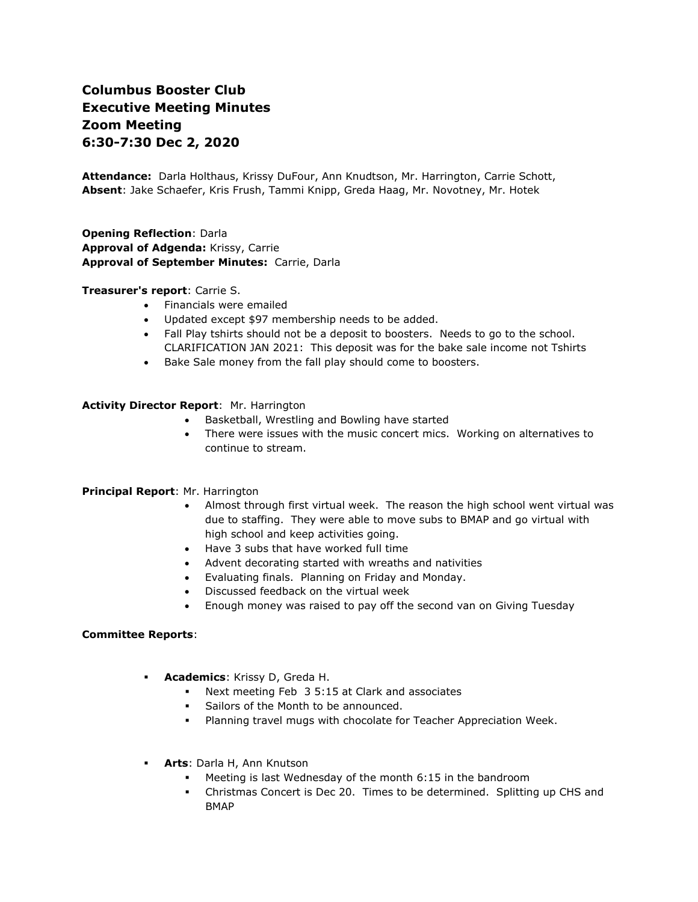# **Columbus Booster Club Executive Meeting Minutes Zoom Meeting 6:30-7:30 Dec 2, 2020**

**Attendance:** Darla Holthaus, Krissy DuFour, Ann Knudtson, Mr. Harrington, Carrie Schott, **Absent**: Jake Schaefer, Kris Frush, Tammi Knipp, Greda Haag, Mr. Novotney, Mr. Hotek

**Opening Reflection**: Darla **Approval of Adgenda:** Krissy, Carrie **Approval of September Minutes:** Carrie, Darla

#### **Treasurer's report**: Carrie S.

- Financials were emailed
- Updated except \$97 membership needs to be added.
- Fall Play tshirts should not be a deposit to boosters. Needs to go to the school. CLARIFICATION JAN 2021: This deposit was for the bake sale income not Tshirts
- Bake Sale money from the fall play should come to boosters.

#### **Activity Director Report**: Mr. Harrington

- Basketball, Wrestling and Bowling have started
- There were issues with the music concert mics. Working on alternatives to continue to stream.

# **Principal Report**: Mr. Harrington

- Almost through first virtual week. The reason the high school went virtual was due to staffing. They were able to move subs to BMAP and go virtual with high school and keep activities going.
- Have 3 subs that have worked full time
- Advent decorating started with wreaths and nativities
- Evaluating finals. Planning on Friday and Monday.
- Discussed feedback on the virtual week
- Enough money was raised to pay off the second van on Giving Tuesday

#### **Committee Reports**:

- **Academics**: Krissy D, Greda H.
	- Next meeting Feb 3 5:15 at Clark and associates
	- **•** Sailors of the Month to be announced.
	- Planning travel mugs with chocolate for Teacher Appreciation Week.
- **Arts**: Darla H, Ann Knutson
	- Meeting is last Wednesday of the month  $6:15$  in the bandroom
	- Christmas Concert is Dec 20. Times to be determined. Splitting up CHS and BMAP